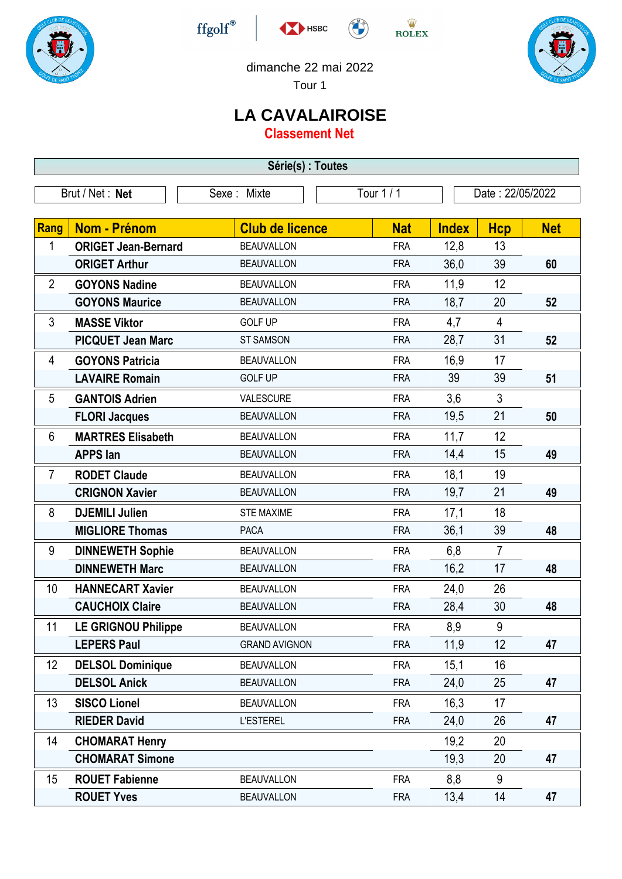





 $\stackrel{\text{W}}{\text{ROLEX}}$ 



dimanche 22 mai 2022

Tour 1

## **LA CAVALAIROISE**

**Classement Net**

| Série(s) : Toutes |                            |                        |            |              |                  |            |  |  |
|-------------------|----------------------------|------------------------|------------|--------------|------------------|------------|--|--|
| Brut / Net: Net   |                            | Sexe : Mixte           | Tour 1/1   |              | Date: 22/05/2022 |            |  |  |
| Rang              | Nom - Prénom               | <b>Club de licence</b> | <b>Nat</b> | <b>Index</b> | <b>Hcp</b>       | <b>Net</b> |  |  |
| 1                 | <b>ORIGET Jean-Bernard</b> | <b>BEAUVALLON</b>      | <b>FRA</b> | 12,8         | 13               |            |  |  |
|                   | <b>ORIGET Arthur</b>       | <b>BEAUVALLON</b>      | <b>FRA</b> | 36,0         | 39               | 60         |  |  |
| $\overline{2}$    | <b>GOYONS Nadine</b>       | <b>BEAUVALLON</b>      | <b>FRA</b> | 11,9         | 12               |            |  |  |
|                   | <b>GOYONS Maurice</b>      | <b>BEAUVALLON</b>      | <b>FRA</b> | 18,7         | 20               | 52         |  |  |
| 3                 | <b>MASSE Viktor</b>        | <b>GOLF UP</b>         | <b>FRA</b> | 4,7          | $\overline{4}$   |            |  |  |
|                   | <b>PICQUET Jean Marc</b>   | <b>ST SAMSON</b>       | <b>FRA</b> | 28,7         | 31               | 52         |  |  |
| 4                 | <b>GOYONS Patricia</b>     | <b>BEAUVALLON</b>      | <b>FRA</b> | 16,9         | 17               |            |  |  |
|                   | <b>LAVAIRE Romain</b>      | <b>GOLF UP</b>         | <b>FRA</b> | 39           | 39               | 51         |  |  |
| 5                 | <b>GANTOIS Adrien</b>      | VALESCURE              | <b>FRA</b> | 3,6          | 3                |            |  |  |
|                   | <b>FLORI Jacques</b>       | <b>BEAUVALLON</b>      | <b>FRA</b> | 19,5         | 21               | 50         |  |  |
| 6                 | <b>MARTRES Elisabeth</b>   | <b>BEAUVALLON</b>      | <b>FRA</b> | 11,7         | 12               |            |  |  |
|                   | <b>APPS lan</b>            | <b>BEAUVALLON</b>      | <b>FRA</b> | 14,4         | 15               | 49         |  |  |
| $\overline{7}$    | <b>RODET Claude</b>        | <b>BEAUVALLON</b>      | <b>FRA</b> | 18,1         | 19               |            |  |  |
|                   | <b>CRIGNON Xavier</b>      | <b>BEAUVALLON</b>      | <b>FRA</b> | 19,7         | 21               | 49         |  |  |
| 8                 | <b>DJEMILI Julien</b>      | <b>STE MAXIME</b>      | <b>FRA</b> | 17,1         | 18               |            |  |  |
|                   | <b>MIGLIORE Thomas</b>     | <b>PACA</b>            | <b>FRA</b> | 36,1         | 39               | 48         |  |  |
| 9                 | <b>DINNEWETH Sophie</b>    | <b>BEAUVALLON</b>      | <b>FRA</b> | 6,8          | $\overline{7}$   |            |  |  |
|                   | <b>DINNEWETH Marc</b>      | <b>BEAUVALLON</b>      | <b>FRA</b> | 16,2         | 17               | 48         |  |  |
| 10                | <b>HANNECART Xavier</b>    | <b>BEAUVALLON</b>      | <b>FRA</b> | 24,0         | 26               |            |  |  |
|                   | <b>CAUCHOIX Claire</b>     | <b>BEAUVALLON</b>      | <b>FRA</b> | 28,4         | 30               | 48         |  |  |
| 11                | <b>LE GRIGNOU Philippe</b> | <b>BEAUVALLON</b>      | <b>FRA</b> | 8,9          | 9                |            |  |  |
|                   | <b>LEPERS Paul</b>         | <b>GRAND AVIGNON</b>   | <b>FRA</b> | 11,9         | 12               | 47         |  |  |
| 12                | <b>DELSOL Dominique</b>    | <b>BEAUVALLON</b>      | <b>FRA</b> | 15,1         | 16               |            |  |  |
|                   | <b>DELSOL Anick</b>        | <b>BEAUVALLON</b>      | <b>FRA</b> | 24,0         | 25               | 47         |  |  |
| 13                | <b>SISCO Lionel</b>        | <b>BEAUVALLON</b>      | <b>FRA</b> | 16,3         | 17               |            |  |  |
|                   | <b>RIEDER David</b>        | <b>L'ESTEREL</b>       | <b>FRA</b> | 24,0         | 26               | 47         |  |  |
| 14                | <b>CHOMARAT Henry</b>      |                        |            | 19,2         | 20               |            |  |  |
|                   | <b>CHOMARAT Simone</b>     |                        |            | 19,3         | 20               | 47         |  |  |
| 15                | <b>ROUET Fabienne</b>      | <b>BEAUVALLON</b>      | <b>FRA</b> | 8,8          | 9                |            |  |  |
|                   | <b>ROUET Yves</b>          | <b>BEAUVALLON</b>      | <b>FRA</b> | 13,4         | 14               | 47         |  |  |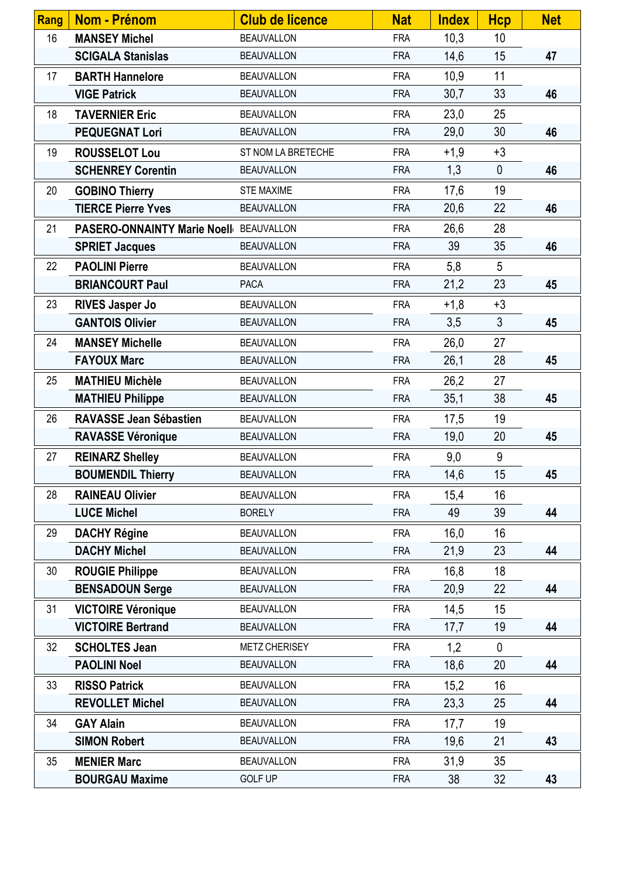| Rang | <b>Nom - Prénom</b>                    | <b>Club de licence</b> | <b>Nat</b> | <b>Index</b> | <b>Hcp</b>     | <b>Net</b> |
|------|----------------------------------------|------------------------|------------|--------------|----------------|------------|
| 16   | <b>MANSEY Michel</b>                   | <b>BEAUVALLON</b>      | <b>FRA</b> | 10,3         | 10             |            |
|      | <b>SCIGALA Stanislas</b>               | <b>BEAUVALLON</b>      | <b>FRA</b> | 14,6         | 15             | 47         |
| 17   | <b>BARTH Hannelore</b>                 | <b>BEAUVALLON</b>      | <b>FRA</b> | 10,9         | 11             |            |
|      | <b>VIGE Patrick</b>                    | <b>BEAUVALLON</b>      | <b>FRA</b> | 30,7         | 33             | 46         |
| 18   | <b>TAVERNIER Eric</b>                  | <b>BEAUVALLON</b>      | <b>FRA</b> | 23,0         | 25             |            |
|      | <b>PEQUEGNAT Lori</b>                  | <b>BEAUVALLON</b>      | <b>FRA</b> | 29,0         | 30             | 46         |
| 19   | <b>ROUSSELOT Lou</b>                   | ST NOM LA BRETECHE     | <b>FRA</b> | $+1,9$       | $+3$           |            |
|      | <b>SCHENREY Corentin</b>               | <b>BEAUVALLON</b>      | <b>FRA</b> | 1,3          | $\mathbf 0$    | 46         |
| 20   | <b>GOBINO Thierry</b>                  | <b>STE MAXIME</b>      | <b>FRA</b> | 17,6         | 19             |            |
|      | <b>TIERCE Pierre Yves</b>              | <b>BEAUVALLON</b>      | <b>FRA</b> | 20,6         | 22             | 46         |
| 21   | PASERO-ONNAINTY Marie Noell BEAUVALLON |                        | <b>FRA</b> | 26,6         | 28             |            |
|      | <b>SPRIET Jacques</b>                  | <b>BEAUVALLON</b>      | <b>FRA</b> | 39           | 35             | 46         |
| 22   | <b>PAOLINI Pierre</b>                  | <b>BEAUVALLON</b>      | <b>FRA</b> | 5,8          | 5              |            |
|      | <b>BRIANCOURT Paul</b>                 | <b>PACA</b>            | <b>FRA</b> | 21,2         | 23             | 45         |
| 23   | <b>RIVES Jasper Jo</b>                 | <b>BEAUVALLON</b>      | <b>FRA</b> | $+1,8$       | $+3$           |            |
|      | <b>GANTOIS Olivier</b>                 | <b>BEAUVALLON</b>      | <b>FRA</b> | 3,5          | $\mathfrak{Z}$ | 45         |
| 24   | <b>MANSEY Michelle</b>                 | <b>BEAUVALLON</b>      | <b>FRA</b> | 26,0         | 27             |            |
|      | <b>FAYOUX Marc</b>                     | <b>BEAUVALLON</b>      | <b>FRA</b> | 26,1         | 28             | 45         |
| 25   | <b>MATHIEU Michèle</b>                 | <b>BEAUVALLON</b>      | <b>FRA</b> | 26,2         | 27             |            |
|      | <b>MATHIEU Philippe</b>                | <b>BEAUVALLON</b>      | <b>FRA</b> | 35,1         | 38             | 45         |
| 26   | <b>RAVASSE Jean Sébastien</b>          | <b>BEAUVALLON</b>      | <b>FRA</b> | 17,5         | 19             |            |
|      | <b>RAVASSE Véronique</b>               | <b>BEAUVALLON</b>      | <b>FRA</b> | 19,0         | 20             | 45         |
| 27   | <b>REINARZ Shelley</b>                 | <b>BEAUVALLON</b>      | <b>FRA</b> | 9,0          | 9              |            |
|      | <b>BOUMENDIL Thierry</b>               | <b>BEAUVALLON</b>      | <b>FRA</b> | 14,6         | 15             | 45         |
| 28   | <b>RAINEAU Olivier</b>                 | <b>BEAUVALLON</b>      | <b>FRA</b> | 15,4         | 16             |            |
|      | <b>LUCE Michel</b>                     | <b>BORELY</b>          | <b>FRA</b> | 49           | 39             | 44         |
| 29   | <b>DACHY Régine</b>                    | <b>BEAUVALLON</b>      | <b>FRA</b> | 16,0         | 16             |            |
|      | <b>DACHY Michel</b>                    | <b>BEAUVALLON</b>      | <b>FRA</b> | 21,9         | 23             | 44         |
| 30   | <b>ROUGIE Philippe</b>                 | <b>BEAUVALLON</b>      | <b>FRA</b> | 16,8         | 18             |            |
|      | <b>BENSADOUN Serge</b>                 | <b>BEAUVALLON</b>      | <b>FRA</b> | 20,9         | 22             | 44         |
| 31   | <b>VICTOIRE Véronique</b>              | <b>BEAUVALLON</b>      | <b>FRA</b> | 14,5         | 15             |            |
|      | <b>VICTOIRE Bertrand</b>               | <b>BEAUVALLON</b>      | <b>FRA</b> | 17,7         | 19             | 44         |
| 32   | <b>SCHOLTES Jean</b>                   | <b>METZ CHERISEY</b>   | <b>FRA</b> | 1,2          | $\mathbf 0$    |            |
|      | <b>PAOLINI Noel</b>                    | <b>BEAUVALLON</b>      | <b>FRA</b> | 18,6         | 20             | 44         |
| 33   | <b>RISSO Patrick</b>                   | <b>BEAUVALLON</b>      | <b>FRA</b> | 15,2         | 16             |            |
|      | <b>REVOLLET Michel</b>                 | <b>BEAUVALLON</b>      | <b>FRA</b> | 23,3         | 25             | 44         |
| 34   | <b>GAY Alain</b>                       | <b>BEAUVALLON</b>      | <b>FRA</b> | 17,7         | 19             |            |
|      | <b>SIMON Robert</b>                    | <b>BEAUVALLON</b>      | <b>FRA</b> | 19,6         | 21             | 43         |
| 35   | <b>MENIER Marc</b>                     | <b>BEAUVALLON</b>      | <b>FRA</b> | 31,9         | 35             |            |
|      | <b>BOURGAU Maxime</b>                  | <b>GOLF UP</b>         | <b>FRA</b> | 38           | 32             | 43         |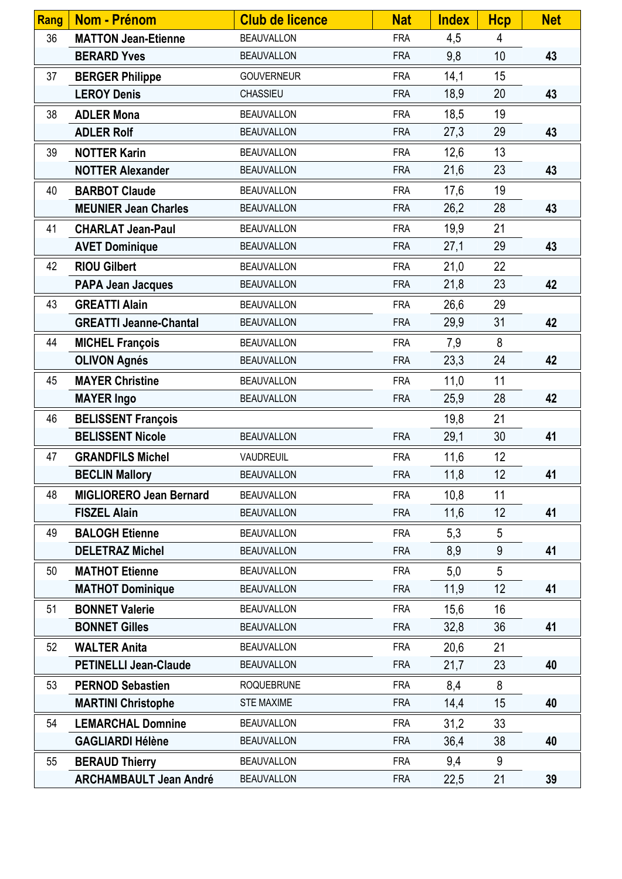| <b>Rang</b> | <b>Nom - Prénom</b>            | <b>Club de licence</b> | <b>Nat</b> | <b>Index</b> | <b>Hcp</b> | <b>Net</b> |
|-------------|--------------------------------|------------------------|------------|--------------|------------|------------|
| 36          | <b>MATTON Jean-Etienne</b>     | <b>BEAUVALLON</b>      | <b>FRA</b> | 4,5          | 4          |            |
|             | <b>BERARD Yves</b>             | <b>BEAUVALLON</b>      | <b>FRA</b> | 9,8          | 10         | 43         |
| 37          | <b>BERGER Philippe</b>         | <b>GOUVERNEUR</b>      | <b>FRA</b> | 14,1         | 15         |            |
|             | <b>LEROY Denis</b>             | CHASSIEU               | <b>FRA</b> | 18,9         | 20         | 43         |
| 38          | <b>ADLER Mona</b>              | <b>BEAUVALLON</b>      | <b>FRA</b> | 18,5         | 19         |            |
|             | <b>ADLER Rolf</b>              | <b>BEAUVALLON</b>      | <b>FRA</b> | 27,3         | 29         | 43         |
| 39          | <b>NOTTER Karin</b>            | <b>BEAUVALLON</b>      | <b>FRA</b> | 12,6         | 13         |            |
|             | <b>NOTTER Alexander</b>        | <b>BEAUVALLON</b>      | <b>FRA</b> | 21,6         | 23         | 43         |
| 40          | <b>BARBOT Claude</b>           | <b>BEAUVALLON</b>      | <b>FRA</b> | 17,6         | 19         |            |
|             | <b>MEUNIER Jean Charles</b>    | <b>BEAUVALLON</b>      | <b>FRA</b> | 26,2         | 28         | 43         |
| 41          | <b>CHARLAT Jean-Paul</b>       | <b>BEAUVALLON</b>      | <b>FRA</b> | 19,9         | 21         |            |
|             | <b>AVET Dominique</b>          | <b>BEAUVALLON</b>      | <b>FRA</b> | 27,1         | 29         | 43         |
| 42          | <b>RIOU Gilbert</b>            | <b>BEAUVALLON</b>      | <b>FRA</b> | 21,0         | 22         |            |
|             | <b>PAPA Jean Jacques</b>       | <b>BEAUVALLON</b>      | <b>FRA</b> | 21,8         | 23         | 42         |
| 43          | <b>GREATTI Alain</b>           | <b>BEAUVALLON</b>      | <b>FRA</b> | 26,6         | 29         |            |
|             | <b>GREATTI Jeanne-Chantal</b>  | <b>BEAUVALLON</b>      | <b>FRA</b> | 29,9         | 31         | 42         |
| 44          | <b>MICHEL François</b>         | <b>BEAUVALLON</b>      | <b>FRA</b> | 7,9          | 8          |            |
|             | <b>OLIVON Agnés</b>            | <b>BEAUVALLON</b>      | <b>FRA</b> | 23,3         | 24         | 42         |
| 45          | <b>MAYER Christine</b>         | <b>BEAUVALLON</b>      | <b>FRA</b> | 11,0         | 11         |            |
|             | <b>MAYER Ingo</b>              | <b>BEAUVALLON</b>      | <b>FRA</b> | 25,9         | 28         | 42         |
| 46          | <b>BELISSENT François</b>      |                        |            | 19,8         | 21         |            |
|             | <b>BELISSENT Nicole</b>        | <b>BEAUVALLON</b>      | <b>FRA</b> | 29,1         | 30         | 41         |
| 47          | <b>GRANDFILS Michel</b>        | VAUDREUIL              | <b>FRA</b> | 11,6         | 12         |            |
|             | <b>BECLIN Mallory</b>          | <b>BEAUVALLON</b>      | <b>FRA</b> | 11,8         | 12         | 41         |
| 48          | <b>MIGLIORERO Jean Bernard</b> | <b>BEAUVALLON</b>      | <b>FRA</b> | 10,8         | 11         |            |
|             | <b>FISZEL Alain</b>            | <b>BEAUVALLON</b>      | <b>FRA</b> | 11,6         | 12         | 41         |
| 49          | <b>BALOGH Etienne</b>          | <b>BEAUVALLON</b>      | <b>FRA</b> | 5,3          | 5          |            |
|             | <b>DELETRAZ Michel</b>         | <b>BEAUVALLON</b>      | <b>FRA</b> | 8,9          | $9\,$      | 41         |
| 50          | <b>MATHOT Etienne</b>          | <b>BEAUVALLON</b>      | <b>FRA</b> | 5,0          | 5          |            |
|             | <b>MATHOT Dominique</b>        | <b>BEAUVALLON</b>      | <b>FRA</b> | 11,9         | 12         | 41         |
| 51          | <b>BONNET Valerie</b>          | <b>BEAUVALLON</b>      | <b>FRA</b> | 15,6         | 16         |            |
|             | <b>BONNET Gilles</b>           | <b>BEAUVALLON</b>      | <b>FRA</b> | 32,8         | 36         | 41         |
| 52          | <b>WALTER Anita</b>            | <b>BEAUVALLON</b>      | <b>FRA</b> | 20,6         | 21         |            |
|             | <b>PETINELLI Jean-Claude</b>   | <b>BEAUVALLON</b>      | <b>FRA</b> | 21,7         | 23         | 40         |
| 53          | <b>PERNOD Sebastien</b>        | <b>ROQUEBRUNE</b>      | <b>FRA</b> | 8,4          | 8          |            |
|             | <b>MARTINI Christophe</b>      | <b>STE MAXIME</b>      | <b>FRA</b> | 14,4         | 15         | 40         |
| 54          | <b>LEMARCHAL Domnine</b>       | <b>BEAUVALLON</b>      | <b>FRA</b> | 31,2         | 33         |            |
|             | <b>GAGLIARDI Hélène</b>        | <b>BEAUVALLON</b>      | <b>FRA</b> | 36,4         | 38         | 40         |
| 55          | <b>BERAUD Thierry</b>          | <b>BEAUVALLON</b>      | <b>FRA</b> | 9,4          | 9          |            |
|             | <b>ARCHAMBAULT Jean André</b>  | <b>BEAUVALLON</b>      | <b>FRA</b> | 22,5         | 21         | 39         |